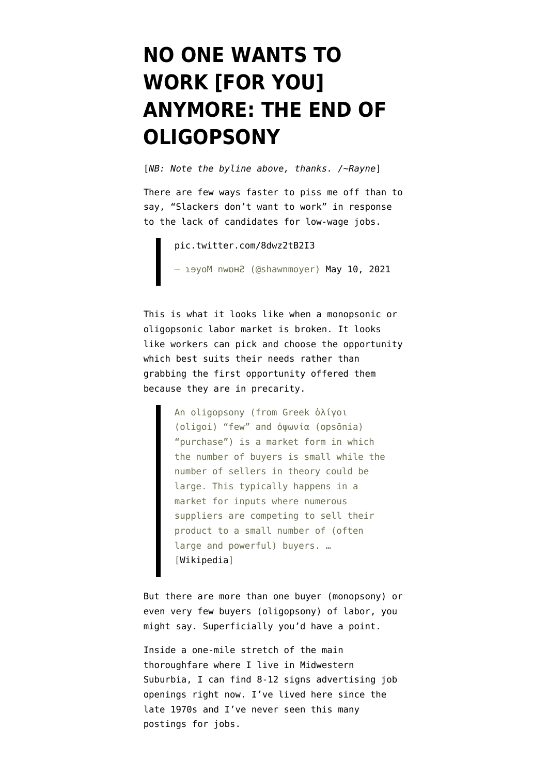## **[NO ONE WANTS TO](https://www.emptywheel.net/2021/05/16/no-one-wants-to-work-for-you-anymore-the-end-of-oligopsony/) [WORK \[FOR YOU\]](https://www.emptywheel.net/2021/05/16/no-one-wants-to-work-for-you-anymore-the-end-of-oligopsony/) [ANYMORE: THE END OF](https://www.emptywheel.net/2021/05/16/no-one-wants-to-work-for-you-anymore-the-end-of-oligopsony/) [OLIGOPSONY](https://www.emptywheel.net/2021/05/16/no-one-wants-to-work-for-you-anymore-the-end-of-oligopsony/)**

[*NB: Note the byline above, thanks. /~Rayne*]

There are few ways faster to piss me off than to say, "Slackers don't want to work" in response to the lack of candidates for low-wage jobs.

[pic.twitter.com/8dwz2tB2I3](https://t.co/8dwz2tB2I3) — деуоМ nwbн2 (@shawnmoyer) [May 10, 2021](https://twitter.com/shawnmoyer/status/1391886476787568640?ref_src=twsrc%5Etfw)

This is what it looks like when a monopsonic or oligopsonic labor market is broken. It looks like workers can pick and choose the opportunity which best suits their needs rather than grabbing the first opportunity offered them because they are in precarity.

> An oligopsony (from Greek ὀλίγοι (oligoi) "few" and ὀψωνία (opsōnia) "purchase") is a market form in which the number of buyers is small while the number of sellers in theory could be large. This typically happens in a market for inputs where numerous suppliers are competing to sell their product to a small number of (often large and powerful) buyers. … [[Wikipedia](https://en.wikipedia.org/wiki/Oligopsony)]

But there are more than one buyer (monopsony) or even very few buyers (oligopsony) of labor, you might say. Superficially you'd have a point.

Inside a one-mile stretch of the main thoroughfare where I live in Midwestern Suburbia, I can find 8-12 signs advertising job openings right now. I've lived here since the late 1970s and I've never seen this many postings for jobs.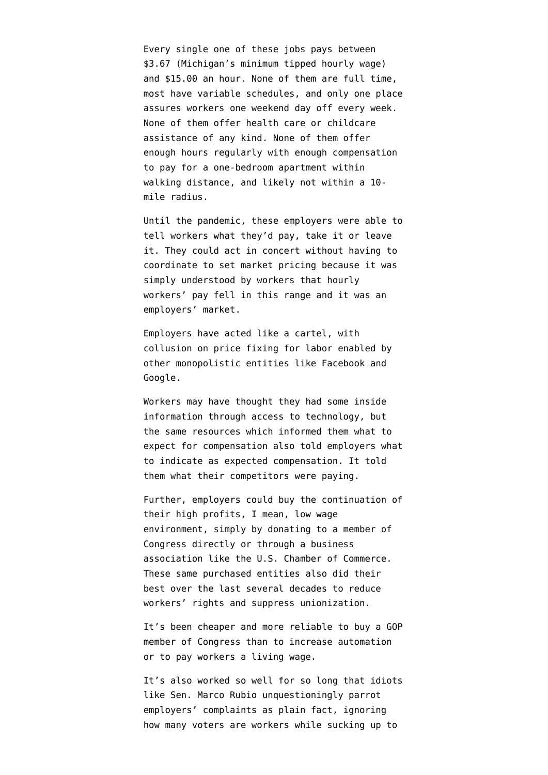Every single one of these jobs pays between \$3.67 (Michigan's minimum tipped hourly wage) and \$15.00 an hour. None of them are full time, most have variable schedules, and only one place assures workers one weekend day off every week. None of them offer health care or childcare assistance of any kind. None of them offer enough hours regularly with enough compensation to pay for a one-bedroom apartment within walking distance, and likely not within a 10 mile radius.

Until the pandemic, these employers were able to tell workers what they'd pay, take it or leave it. They could act in concert without having to coordinate to set market pricing because it was simply understood by workers that hourly workers' pay fell in this range and it was an employers' market.

Employers have acted like a cartel, with collusion on price fixing for labor enabled by other monopolistic entities like Facebook and Google.

Workers may have thought they had some inside information through access to technology, but the same resources which informed them what to expect for compensation also told employers what to indicate as expected compensation. It told them what their competitors were paying.

Further, employers could buy the continuation of their high profits, I mean, low wage environment, simply by donating to a member of Congress directly or through a business association like the U.S. Chamber of Commerce. These same purchased entities also did their best over the last several decades to reduce workers' rights and suppress unionization.

It's been cheaper and more reliable to buy a GOP member of Congress than to increase automation or to pay workers a living wage.

It's also worked so well for so long that idiots like Sen. Marco Rubio unquestioningly parrot employers' complaints as plain fact, ignoring how many voters are workers while sucking up to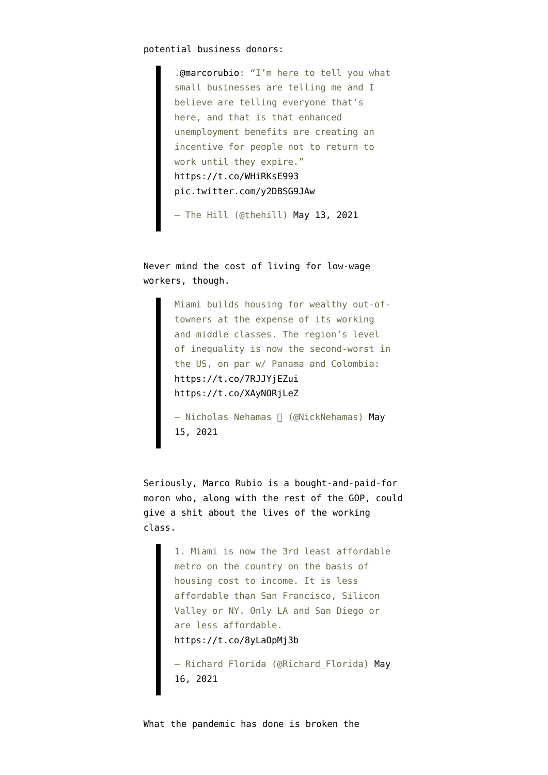.[@marcorubio](https://twitter.com/marcorubio?ref_src=twsrc%5Etfw): "I'm here to tell you what small businesses are telling me and I believe are telling everyone that's here, and that is that enhanced unemployment benefits are creating an incentive for people not to return to work until they expire." <https://t.co/WHiRKsE993> [pic.twitter.com/y2DBSG9JAw](https://t.co/y2DBSG9JAw)

— The Hill (@thehill) [May 13, 2021](https://twitter.com/thehill/status/1392965627254562820?ref_src=twsrc%5Etfw)

Never mind the cost of living for low-wage workers, though.

> Miami builds housing for wealthy out-oftowners at the expense of its working and middle classes. The region's level of inequality is now the second-worst in the US, on par w/ Panama and Colombia: <https://t.co/7RJJYjEZui> <https://t.co/XAyNORjLeZ>

- Nicholas Nehamas <sup>[]</sup> (@NickNehamas) [May](https://twitter.com/NickNehamas/status/1393568895735324672?ref_src=twsrc%5Etfw) [15, 2021](https://twitter.com/NickNehamas/status/1393568895735324672?ref_src=twsrc%5Etfw)

Seriously, Marco Rubio is a bought-and-paid-for moron who, along with the rest of the GOP, could give a shit about the lives of the working class.

> 1. Miami is now the 3rd least affordable metro on the country on the basis of housing cost to income. It is less affordable than San Francisco, Silicon Valley or NY. Only LA and San Diego or are less affordable. <https://t.co/8yLaOpMj3b>

— Richard Florida (@Richard\_Florida) [May](https://twitter.com/Richard_Florida/status/1393908191596056578?ref_src=twsrc%5Etfw) [16, 2021](https://twitter.com/Richard_Florida/status/1393908191596056578?ref_src=twsrc%5Etfw)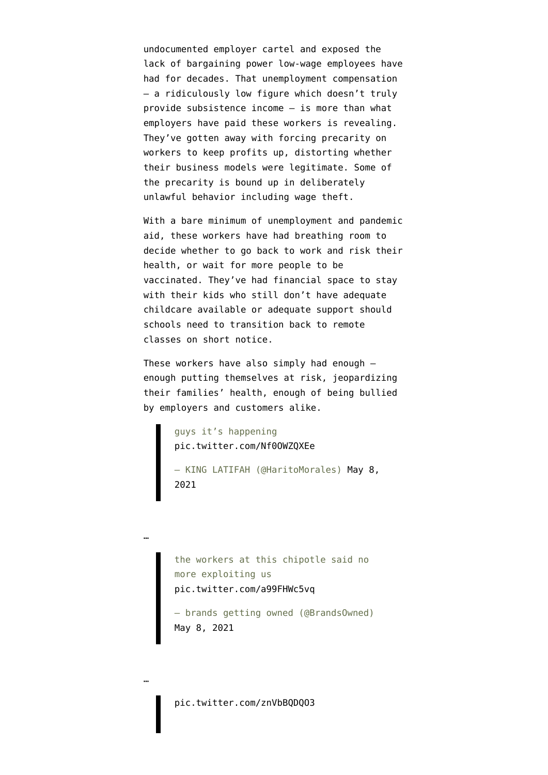undocumented employer cartel and exposed the lack of bargaining power low-wage employees have had for decades. That unemployment compensation — a ridiculously low figure which doesn't truly provide subsistence income — is more than what employers have paid these workers is revealing. They've gotten away with forcing precarity on workers to keep profits up, distorting whether their business models were legitimate. Some of the precarity is bound up in deliberately unlawful behavior including [wage theft.](https://www.mass.gov/news/three-grocery-stores-cited-nearly-1-million-for-wage-theft-other-wage-and-hour-violations-affecting-over-150-employees)

With a bare minimum of unemployment and pandemic aid, these workers have had breathing room to decide whether to go back to work and risk their health, or wait for more people to be vaccinated. They've had financial space to stay with their kids who still don't have adequate childcare available or [adequate support](https://twitter.com/SusanSchutte2/status/1389009357430353922) should schools need to transition back to remote classes on short notice.

These workers have also simply had enough enough putting themselves at risk, jeopardizing their families' health, enough of being [bullied](https://twitter.com/ScottWamplerBMD/status/1387161762617757696) [by employers and customers](https://twitter.com/ScottWamplerBMD/status/1387161762617757696) alike.

> guys it's happening [pic.twitter.com/Nf0OWZQXEe](https://t.co/Nf0OWZQXEe)

…

…

— KING LATIFAH (@HaritoMorales) [May 8,](https://twitter.com/HaritoMorales/status/1391066968149557248?ref_src=twsrc%5Etfw) [2021](https://twitter.com/HaritoMorales/status/1391066968149557248?ref_src=twsrc%5Etfw)

the workers at this chipotle said no more exploiting us [pic.twitter.com/a99FHWc5vq](https://t.co/a99FHWc5vq)

— brands getting owned (@BrandsOwned) [May 8, 2021](https://twitter.com/BrandsOwned/status/1391155501254070273?ref_src=twsrc%5Etfw)

[pic.twitter.com/znVbBQDQO3](https://t.co/znVbBQDQO3)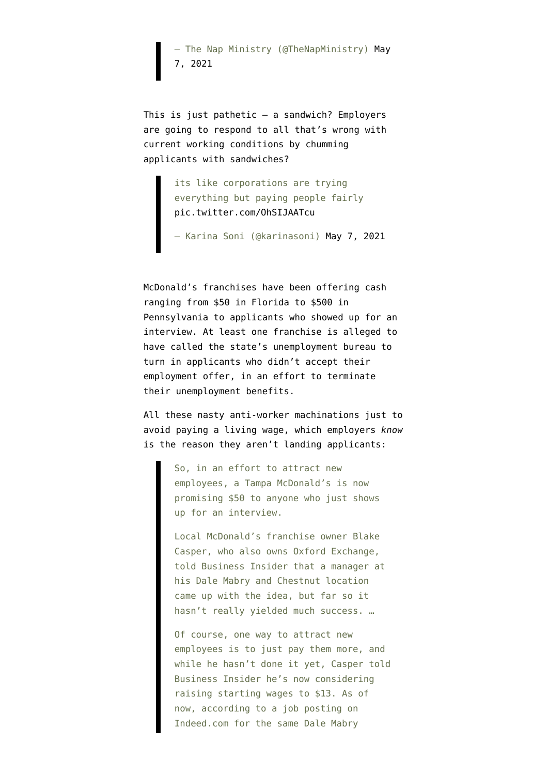— The Nap Ministry (@TheNapMinistry) [May](https://twitter.com/TheNapMinistry/status/1390665965667500034?ref_src=twsrc%5Etfw) [7, 2021](https://twitter.com/TheNapMinistry/status/1390665965667500034?ref_src=twsrc%5Etfw)

This is just pathetic — a sandwich? Employers are going to respond to all that's wrong with current working conditions by chumming applicants with sandwiches?

> its like corporations are trying everything but paying people fairly [pic.twitter.com/OhSIJAATcu](https://t.co/OhSIJAATcu)

— Karina Soni (@karinasoni) [May 7, 2021](https://twitter.com/karinasoni/status/1390733289326002184?ref_src=twsrc%5Etfw)

McDonald's franchises have been offering cash ranging from \$50 in Florida to \$500 in Pennsylvania to applicants who showed up for an interview. At least one franchise is [alleged to](https://twitter.com/TokenPsycho/status/1386668363636686851) [have called the state's unemployment bureau](https://twitter.com/TokenPsycho/status/1386668363636686851) to turn in applicants who didn't accept their employment offer, in an effort to terminate their unemployment benefits.

All these nasty anti-worker machinations just to avoid paying a living wage, which employers *know* is the reason they [aren't landing applicants](https://www.cltampa.com/news-views/local-news/article/21151617/tampa-mcdonalds-offers-50-to-anyone-willing-to-just-apply-to-job):

> So, in an effort to attract new employees, a Tampa McDonald's is now promising \$50 to anyone who just shows up for an interview.

Local McDonald's franchise owner Blake Casper, who also owns Oxford Exchange, told Business Insider that a manager at his Dale Mabry and Chestnut location came up with the idea, but far so it hasn't really yielded much success. …

Of course, one way to attract new employees is to just pay them more, and while he hasn't done it yet, Casper told Business Insider he's now considering raising starting wages to \$13. As of now, according to a job posting on Indeed.com for the same Dale Mabry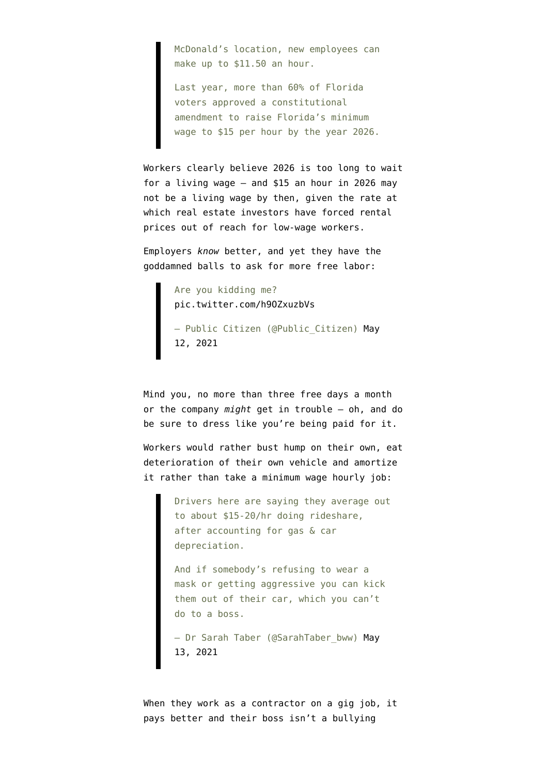McDonald's location, new employees can make up to \$11.50 an hour.

Last year, more than 60% of Florida voters approved a constitutional amendment to raise Florida's minimum wage to \$15 per hour by the year 2026.

Workers clearly believe 2026 is too long to wait for a living wage — and \$15 an hour in 2026 may not be a living wage by then, given the rate at which real estate investors have forced rental prices out of reach for low-wage workers.

Employers *know* better, and yet they have the goddamned balls to ask for more free labor:

> Are you kidding me? [pic.twitter.com/h9OZxuzbVs](https://t.co/h9OZxuzbVs) — Public Citizen (@Public\_Citizen) [May](https://twitter.com/Public_Citizen/status/1392481950204534791?ref_src=twsrc%5Etfw) [12, 2021](https://twitter.com/Public_Citizen/status/1392481950204534791?ref_src=twsrc%5Etfw)

Mind you, no more than three free days a month or the company *might* get in trouble — oh, and do be sure to dress like you're being paid for it.

Workers would rather bust hump on their own, eat deterioration of their own vehicle and amortize it rather than take a minimum wage hourly job:

> Drivers here are saying they average out to about \$15-20/hr doing rideshare, after accounting for gas & car depreciation.

And if somebody's refusing to wear a mask or getting aggressive you can kick them out of their car, which you can't do to a boss.

- Dr Sarah Taber (@SarahTaber bww) [May](https://twitter.com/SarahTaber_bww/status/1392952890596200452?ref_src=twsrc%5Etfw) [13, 2021](https://twitter.com/SarahTaber_bww/status/1392952890596200452?ref_src=twsrc%5Etfw)

When they work as a contractor on a gig job, it pays better and their boss isn't a bullying